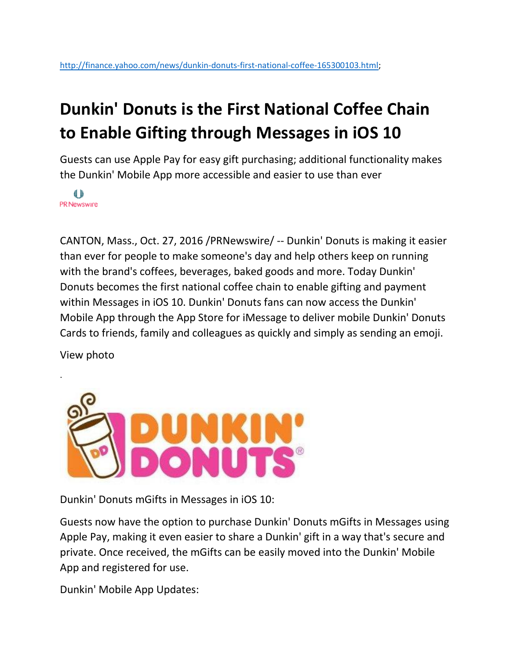## **Dunkin' Donuts is the First National Coffee Chain to Enable Gifting through Messages in iOS 10**

Guests can use Apple Pay for easy gift purchasing; additional functionality makes the Dunkin' Mobile App more accessible and easier to use than ever

₿ PR Newswire

CANTON, Mass., Oct. 27, 2016 /PRNewswire/ -- [Dunkin' Donuts](https://www.dunkindonuts.com/) is making it easier than ever for people to make someone's day and help others keep on running with the brand's coffees, beverages, baked goods and more. Today Dunkin' Donuts becomes the first national coffee chain to enable gifting and payment within Messages in iOS 10. Dunkin' Donuts fans can now access the Dunkin' Mobile App through the App Store for iMessage to deliver mobile Dunkin' Donuts Cards to friends, family and colleagues as quickly and simply as sending an emoji.

View photo

.



Dunkin' Donuts mGifts in Messages in iOS 10:

Guests now have the option to purchase Dunkin' Donuts mGifts in Messages using Apple Pay, making it even easier to share a Dunkin' gift in a way that's secure and private. Once received, the mGifts can be easily moved into the Dunkin' Mobile App and registered for use.

Dunkin' Mobile App Updates: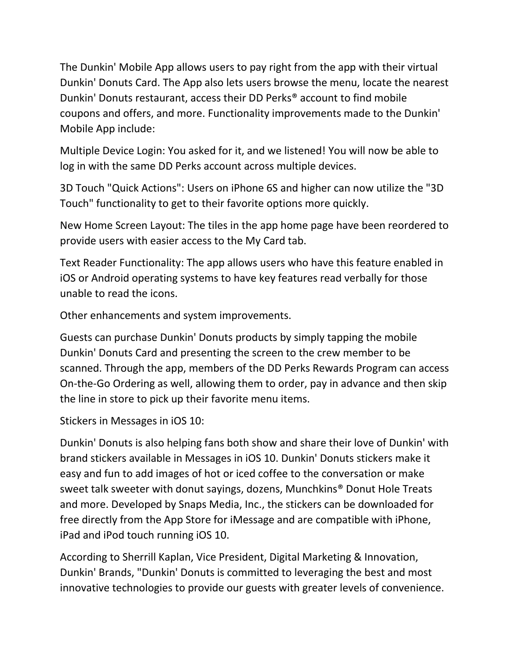The Dunkin' Mobile App allows users to pay right from the app with their virtual Dunkin' Donuts Card. The App also lets users browse the menu, locate the nearest Dunkin' Donuts restaurant, access their DD Perks® account to find mobile coupons and offers, and more. Functionality improvements made to the Dunkin' Mobile App include:

Multiple Device Login: You asked for it, and we listened! You will now be able to log in with the same DD Perks account across multiple devices.

3D Touch "Quick Actions": Users on iPhone 6S and higher can now utilize the "3D Touch" functionality to get to their favorite options more quickly.

New Home Screen Layout: The tiles in the app home page have been reordered to provide users with easier access to the My Card tab.

Text Reader Functionality: The app allows users who have this feature enabled in iOS or Android operating systems to have key features read verbally for those unable to read the icons.

Other enhancements and system improvements.

Guests can purchase Dunkin' Donuts products by simply tapping the mobile Dunkin' Donuts Card and presenting the screen to the crew member to be scanned. Through the app, members of the DD Perks Rewards Program can access On-the-Go Ordering as well, allowing them to order, pay in advance and then skip the line in store to pick up their favorite menu items.

Stickers in Messages in iOS 10:

Dunkin' Donuts is also helping fans both show and share their love of Dunkin' with brand stickers available in Messages in iOS 10. Dunkin' Donuts stickers make it easy and fun to add images of hot or iced coffee to the conversation or make sweet talk sweeter with donut sayings, dozens, Munchkins® Donut Hole Treats and more. Developed by Snaps Media, Inc., the stickers can be downloaded for free directly from the App Store for iMessage and are compatible with iPhone, iPad and iPod touch running iOS 10.

According to Sherrill Kaplan, Vice President, Digital Marketing & Innovation, Dunkin' Brands, "Dunkin' Donuts is committed to leveraging the best and most innovative technologies to provide our guests with greater levels of convenience.